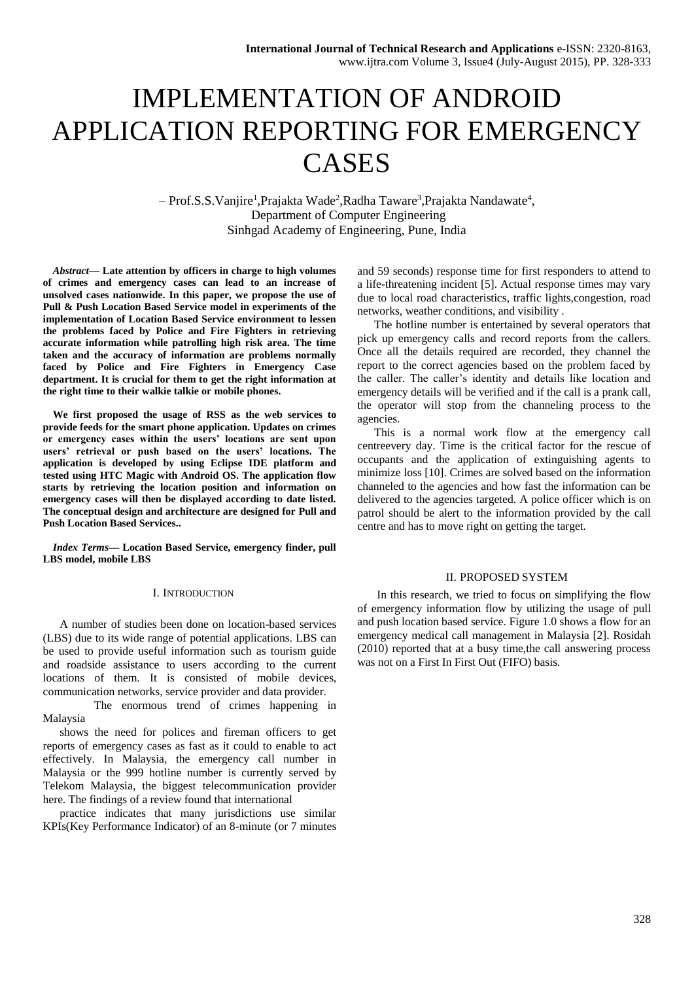# IMPLEMENTATION OF ANDROID APPLICATION REPORTING FOR EMERGENCY CASES

- Prof.S.S. Vanjire<sup>1</sup>, Prajakta Wade<sup>2</sup>, Radha Taware<sup>3</sup>, Prajakta Nandawate<sup>4</sup>, Department of Computer Engineering Sinhgad Academy of Engineering, Pune, India

*Abstract***— Late attention by officers in charge to high volumes of crimes and emergency cases can lead to an increase of unsolved cases nationwide. In this paper, we propose the use of Pull & Push Location Based Service model in experiments of the implementation of Location Based Service environment to lessen the problems faced by Police and Fire Fighters in retrieving accurate information while patrolling high risk area. The time taken and the accuracy of information are problems normally faced by Police and Fire Fighters in Emergency Case department. It is crucial for them to get the right information at the right time to their walkie talkie or mobile phones.** 

**We first proposed the usage of RSS as the web services to provide feeds for the smart phone application. Updates on crimes or emergency cases within the users' locations are sent upon users' retrieval or push based on the users' locations. The application is developed by using Eclipse IDE platform and tested using HTC Magic with Android OS. The application flow starts by retrieving the location position and information on emergency cases will then be displayed according to date listed. The conceptual design and architecture are designed for Pull and Push Location Based Services..**

*Index Terms***— Location Based Service, emergency finder, pull LBS model, mobile LBS**

## I. INTRODUCTION

A number of studies been done on location-based services (LBS) due to its wide range of potential applications. LBS can be used to provide useful information such as tourism guide and roadside assistance to users according to the current locations of them. It is consisted of mobile devices, communication networks, service provider and data provider.

 The enormous trend of crimes happening in Malaysia

shows the need for polices and fireman officers to get reports of emergency cases as fast as it could to enable to act effectively. In Malaysia, the emergency call number in Malaysia or the 999 hotline number is currently served by Telekom Malaysia, the biggest telecommunication provider here. The findings of a review found that international

practice indicates that many jurisdictions use similar KPIs(Key Performance Indicator) of an 8-minute (or 7 minutes

and 59 seconds) response time for first responders to attend to a life-threatening incident [5]. Actual response times may vary due to local road characteristics, traffic lights,congestion, road networks, weather conditions, and visibility .

The hotline number is entertained by several operators that pick up emergency calls and record reports from the callers. Once all the details required are recorded, they channel the report to the correct agencies based on the problem faced by the caller. The caller's identity and details like location and emergency details will be verified and if the call is a prank call, the operator will stop from the channeling process to the agencies.

This is a normal work flow at the emergency call centreevery day. Time is the critical factor for the rescue of occupants and the application of extinguishing agents to minimize loss [10]. Crimes are solved based on the information channeled to the agencies and how fast the information can be delivered to the agencies targeted. A police officer which is on patrol should be alert to the information provided by the call centre and has to move right on getting the target.

#### II. PROPOSED SYSTEM

In this research, we tried to focus on simplifying the flow of emergency information flow by utilizing the usage of pull and push location based service. Figure 1.0 shows a flow for an emergency medical call management in Malaysia [2]. Rosidah (2010) reported that at a busy time,the call answering process was not on a First In First Out (FIFO) basis.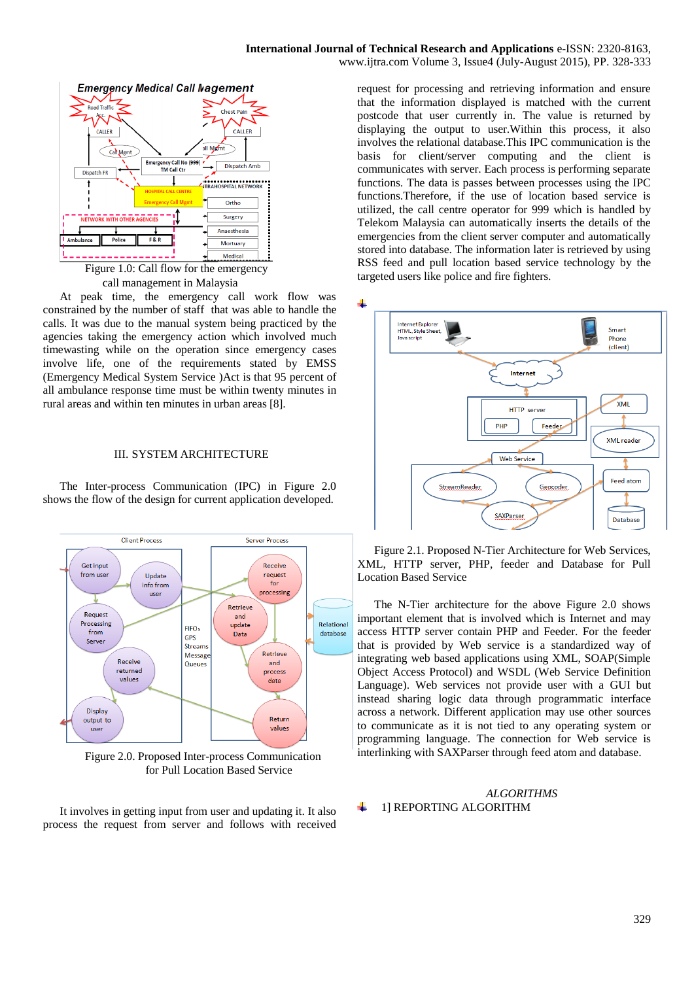

call management in Malaysia

At peak time, the emergency call work flow was constrained by the number of staff that was able to handle the calls. It was due to the manual system being practiced by the agencies taking the emergency action which involved much timewasting while on the operation since emergency cases involve life, one of the requirements stated by EMSS (Emergency Medical System Service )Act is that 95 percent of all ambulance response time must be within twenty minutes in rural areas and within ten minutes in urban areas [8].

# III. SYSTEM ARCHITECTURE

The Inter-process Communication (IPC) in Figure 2.0 shows the flow of the design for current application developed.



Figure 2.0. Proposed Inter-process Communication for Pull Location Based Service

It involves in getting input from user and updating it. It also process the request from server and follows with received

request for processing and retrieving information and ensure that the information displayed is matched with the current postcode that user currently in. The value is returned by displaying the output to user.Within this process, it also involves the relational database.This IPC communication is the basis for client/server computing and the client is communicates with server. Each process is performing separate functions. The data is passes between processes using the IPC functions.Therefore, if the use of location based service is utilized, the call centre operator for 999 which is handled by Telekom Malaysia can automatically inserts the details of the emergencies from the client server computer and automatically stored into database. The information later is retrieved by using RSS feed and pull location based service technology by the targeted users like police and fire fighters.



Figure 2.1. Proposed N-Tier Architecture for Web Services, XML, HTTP server, PHP, feeder and Database for Pull Location Based Service

The N-Tier architecture for the above Figure 2.0 shows important element that is involved which is Internet and may access HTTP server contain PHP and Feeder. For the feeder that is provided by Web service is a standardized way of integrating web based applications using XML, SOAP(Simple Object Access Protocol) and WSDL (Web Service Definition Language). Web services not provide user with a GUI but instead sharing logic data through programmatic interface across a network. Different application may use other sources to communicate as it is not tied to any operating system or programming language. The connection for Web service is interlinking with SAXParser through feed atom and database.

### *ALGORITHMS* 1] REPORTING ALGORITHM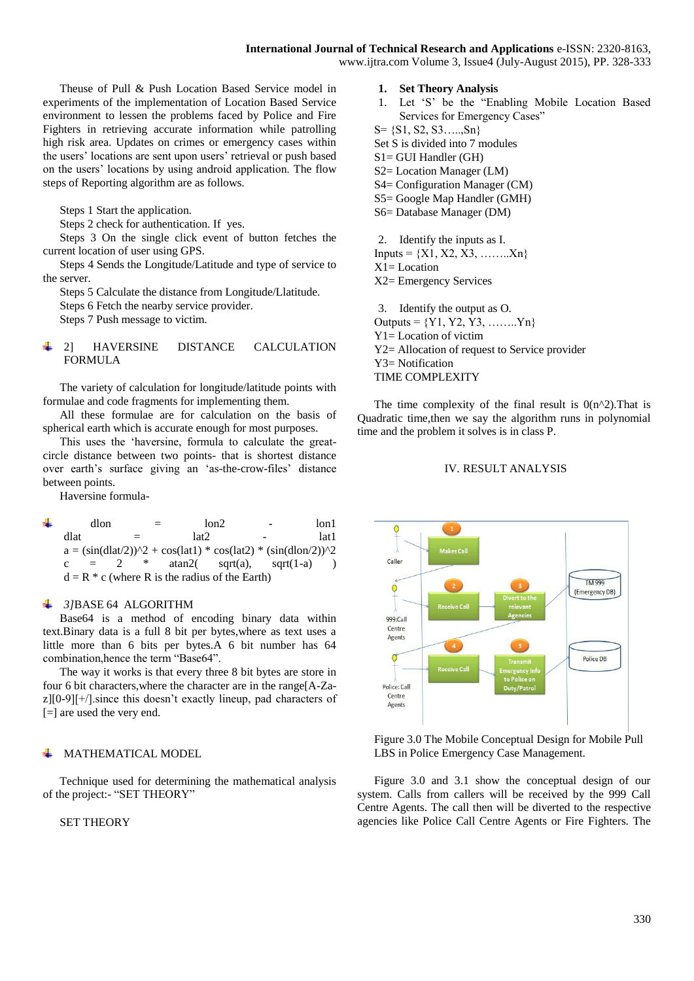www.ijtra.com Volume 3, Issue4 (July-August 2015), PP. 328-333

Theuse of Pull & Push Location Based Service model in experiments of the implementation of Location Based Service environment to lessen the problems faced by Police and Fire Fighters in retrieving accurate information while patrolling high risk area. Updates on crimes or emergency cases within the users' locations are sent upon users' retrieval or push based on the users' locations by using android application. The flow steps of Reporting algorithm are as follows.

Steps 1 Start the application.

Steps 2 check for authentication. If yes.

Steps 3 On the single click event of button fetches the current location of user using GPS.

Steps 4 Sends the Longitude/Latitude and type of service to the server.

Steps 5 Calculate the distance from Longitude/Llatitude.

Steps 6 Fetch the nearby service provider.

Steps 7 Push message to victim.

# 2] HAVERSINE DISTANCE CALCULATION FORMULA

The variety of calculation for longitude/latitude points with formulae and code fragments for implementing them.

All these formulae are for calculation on the basis of spherical earth which is accurate enough for most purposes.

This uses the 'haversine, formula to calculate the greatcircle distance between two points- that is shortest distance over earth's surface giving an 'as-the-crow-files' distance between points.

Haversine formula-

 $dlon =$   $lon2$  -  $lon1$ dlat  $=$   $\ln 2$   $\qquad \ln 1$  $a = (\sin(\frac{dlat}{2}))^2 + \cos(\frac{lat}{2}) * \cos(\frac{lat}{2}) * (\sin(\frac{dlon}{2}))^2$ c = 2  $*$  atan2( sqrt(a), sqrt(1-a) )  $d = R * c$  (where R is the radius of the Earth)

#### ÷. *3]*BASE 64 ALGORITHM

Base64 is a method of encoding binary data within text.Binary data is a full 8 bit per bytes,where as text uses a little more than 6 bits per bytes.A 6 bit number has 64 combination,hence the term "Base64".

The way it works is that every three 8 bit bytes are store in four 6 bit characters,where the character are in the range[A-Za $z$ [[0-9][ $+/$ ]. since this doesn't exactly lineup, pad characters of [=] are used the very end.

# MATHEMATICAL MODEL

Technique used for determining the mathematical analysis of the project:- "SET THEORY"

# SET THEORY

- **1. Set Theory Analysis**
- 1. Let 'S' be the "Enabling Mobile Location Based Services for Emergency Cases"
- S= {S1, S2, S3…..,Sn}
- Set S is divided into 7 modules
- S1= GUI Handler (GH)
- S2= Location Manager (LM)
- S4= Configuration Manager (CM)
- S5= Google Map Handler (GMH)
- S6= Database Manager (DM)

2. Identify the inputs as I.  $InputStream = \{X1, X2, X3, \ldots, Xn\}$ X1= Location X2= Emergency Services

3. Identify the output as O. Outputs =  ${Y1, Y2, Y3, \ldots, Yn}$ Y1= Location of victim Y2= Allocation of request to Service provider Y3= Notification TIME COMPLEXITY

The time complexity of the final result is  $O(n^2)$ . That is Quadratic time,then we say the algorithm runs in polynomial time and the problem it solves is in class P.

# IV. RESULT ANALYSIS



Figure 3.0 The Mobile Conceptual Design for Mobile Pull LBS in Police Emergency Case Management.

Figure 3.0 and 3.1 show the conceptual design of our system. Calls from callers will be received by the 999 Call Centre Agents. The call then will be diverted to the respective agencies like Police Call Centre Agents or Fire Fighters. The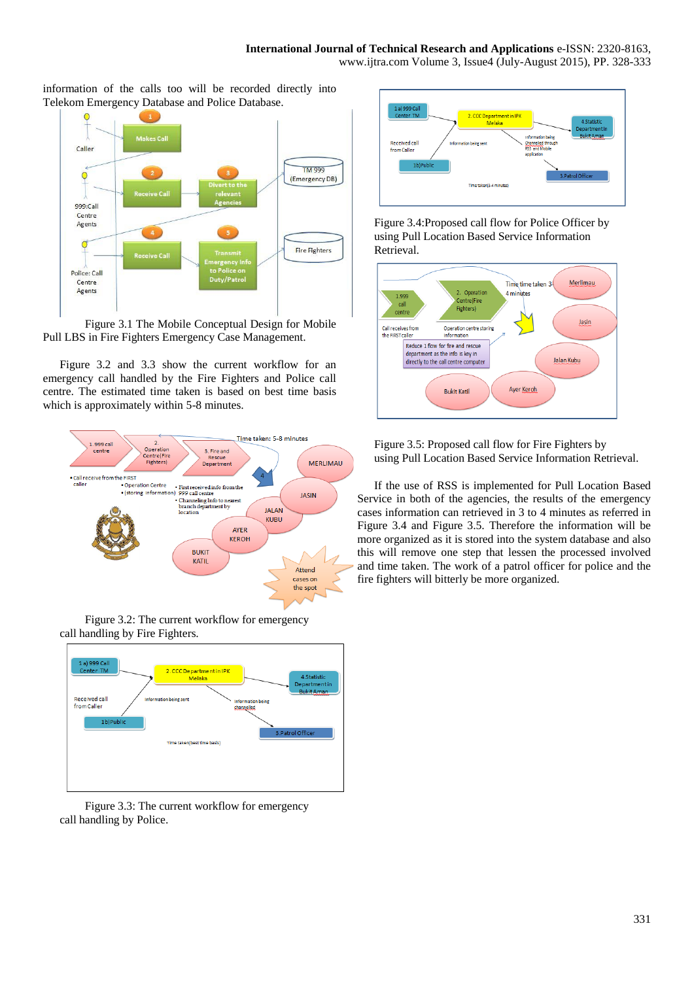information of the calls too will be recorded directly into Telekom Emergency Database and Police Database.



Figure 3.1 The Mobile Conceptual Design for Mobile Pull LBS in Fire Fighters Emergency Case Management.

Figure 3.2 and 3.3 show the current workflow for an emergency call handled by the Fire Fighters and Police call centre. The estimated time taken is based on best time basis which is approximately within 5-8 minutes.



Figure 3.2: The current workflow for emergency call handling by Fire Fighters.



Figure 3.3: The current workflow for emergency call handling by Police.



Figure 3.4:Proposed call flow for Police Officer by using Pull Location Based Service Information Retrieval.



Figure 3.5: Proposed call flow for Fire Fighters by using Pull Location Based Service Information Retrieval.

If the use of RSS is implemented for Pull Location Based Service in both of the agencies, the results of the emergency cases information can retrieved in 3 to 4 minutes as referred in Figure 3.4 and Figure 3.5. Therefore the information will be more organized as it is stored into the system database and also this will remove one step that lessen the processed involved and time taken. The work of a patrol officer for police and the fire fighters will bitterly be more organized.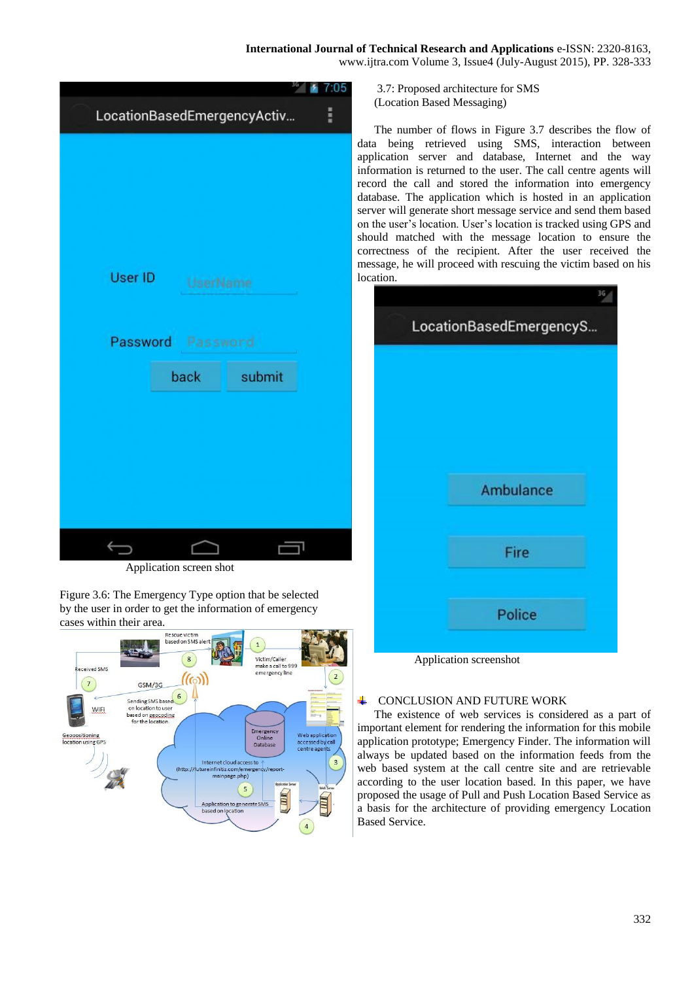|                             |          |        | 7.05 |
|-----------------------------|----------|--------|------|
| LocationBasedEmergencyActiv |          |        | H    |
|                             |          |        |      |
|                             |          |        |      |
|                             |          |        |      |
|                             |          |        |      |
|                             |          |        |      |
| User ID                     |          |        |      |
|                             | UserName |        |      |
|                             |          |        |      |
| Password Password           |          |        |      |
|                             | back     | submit |      |
|                             |          |        |      |
|                             |          |        |      |
|                             |          |        |      |
|                             |          |        |      |
|                             |          |        |      |
|                             |          |        |      |
|                             |          |        |      |

Application screen shot

Figure 3.6: The Emergency Type option that be selected by the user in order to get the information of emergency cases within their area.



3.7: Proposed architecture for SMS (Location Based Messaging)

The number of flows in Figure 3.7 describes the flow of data being retrieved using SMS, interaction between application server and database, Internet and the way information is returned to the user. The call centre agents will record the call and stored the information into emergency database. The application which is hosted in an application server will generate short message service and send them based on the user's location. User's location is tracked using GPS and should matched with the message location to ensure the correctness of the recipient. After the user received the message, he will proceed with rescuing the victim based on his location.

|                         | 36 |
|-------------------------|----|
| LocationBasedEmergencyS |    |
|                         |    |
|                         |    |
|                         |    |
|                         |    |
|                         |    |
| Ambulance               |    |
|                         |    |
|                         |    |
| Fire                    |    |
|                         |    |
| Police                  |    |
|                         |    |

Application screenshot

#### 4 CONCLUSION AND FUTURE WORK

The existence of web services is considered as a part of important element for rendering the information for this mobile application prototype; Emergency Finder. The information will always be updated based on the information feeds from the web based system at the call centre site and are retrievable according to the user location based. In this paper, we have proposed the usage of Pull and Push Location Based Service as a basis for the architecture of providing emergency Location Based Service.